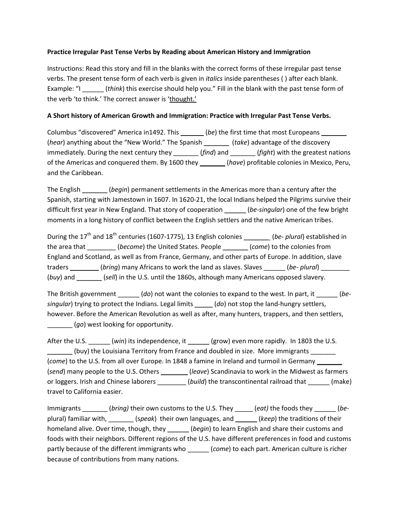## Practice Irregular Past Tense Verbs by Reading about American History and Immigration

Instructions: Read this story and fill in the blanks with the correct forms of these irregular past tense verbs. The present tense form of each verb is given in *italics* inside parentheses () after each blank. Example: "I \_\_\_\_\_\_\_\_ (think) this exercise should help you." Fill in the blank with the past tense form of the verb 'to think.' The correct answer is 'thought.'

## A Short history of American Growth and Immigration: Practice with Irregular Past Tense Verbs.

Columbus "discovered" America in1492. This \_\_\_\_\_\_\_ (be) the first time that most Europeans \_\_\_\_\_\_\_ (hear) anything about the "New World." The Spanish \_\_\_\_\_\_\_\_ (take) advantage of the discovery immediately. During the next century they \_\_\_\_\_\_\_ (find) and \_\_\_\_\_\_ (fight) with the greatest nations of the Americas and conquered them. By 1600 they \_\_\_\_\_\_\_ (have) profitable colonies in Mexico, Peru, and the Caribbean.

The English \_\_\_\_\_\_\_(begin) permanent settlements in the Americas more than a century after the Spanish, starting with Jamestown in 1607. In 1620-21, the local Indians helped the Pilgrims survive their difficult first year in New England. That story of cooperation (be-singular) one of the few bright moments in a long history of conflict between the English settlers and the native American tribes.

During the 17<sup>th</sup> and 18<sup>th</sup> centuries (1607-1775), 13 English colonies \_\_\_\_\_\_\_\_ (be- plural) established in the area that (become) the United States. People (come) to the colonies from England and Scotland, as well as from France, Germany, and other parts of Europe. In addition, slave traders \_\_\_\_\_\_\_\_\_ (bring) many Africans to work the land as slaves. Slaves \_\_\_\_\_\_ (be- plural) \_\_\_\_\_\_\_\_ (buy) and \_\_\_\_\_\_\_\_ (sell) in the U.S. until the 1860s, although many Americans opposed slavery.

The British government  $\underline{\hspace{1cm}}(do)$  not want the colonies to expand to the west. In part, it  $\underline{\hspace{1cm}}(be$ singular) trying to protect the Indians. Legal limits  $\qquad$  (do) not stop the land-hungry settlers, however. Before the American Revolution as well as after, many hunters, trappers, and then settlers, **\_\_\_\_\_\_\_\_** (go) west looking for opportunity.

After the U.S. (win) its independence, it (grow) even more rapidly. In 1803 the U.S. (buy) the Louisiana Territory from France and doubled in size. More immigrants (come) to the U.S. from all over Europe. In 1848 a famine in Ireland and turmoil in Germany (send) many people to the U.S. Others \_\_\_\_\_\_\_(leave) Scandinavia to work in the Midwest as farmers or loggers. Irish and Chinese laborers \_\_\_\_\_\_\_\_ (build) the transcontinental railroad that \_\_\_\_\_\_ (make) travel to California easier.

Immigrants \_\_\_\_\_\_\_\_ (bring) their own customs to the U.S. They \_\_\_\_\_\_ (eat) the foods they \_\_\_\_\_\_\_ (beplural) familiar with, \_\_\_\_\_\_\_ (speak) their own languages, and \_\_\_\_\_\_ (keep) the traditions of their homeland alive. Over time, though, they \_\_\_\_\_\_\_ (begin) to learn English and share their customs and foods with their neighbors. Different regions of the U.S. have different preferences in food and customs partly because of the different immigrants who (come) to each part. American culture is richer because of contributions from many nations.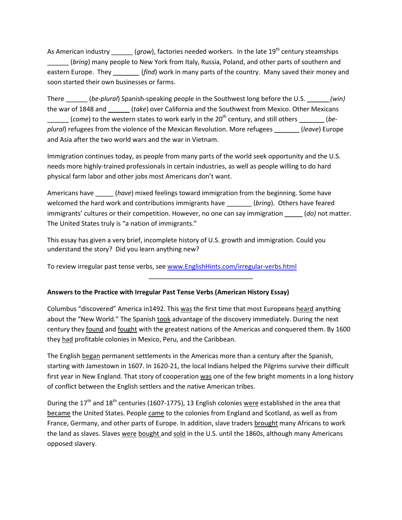As American industry \_\_\_\_\_\_ (grow), factories needed workers. In the late  $19^{th}$  century steamships (bring) many people to New York from Italy, Russia, Poland, and other parts of southern and eastern Europe. They \_\_\_\_\_\_\_ (find) work in many parts of the country. Many saved their money and soon started their own businesses or farms.

There  $\left($  (be-plural) Spanish-speaking people in the Southwest long before the U.S.  $\left($  win) the war of 1848 and (take) over California and the Southwest from Mexico. Other Mexicans  $\Box$  (come) to the western states to work early in the 20<sup>th</sup> century, and still others  $\Box$  (beplural) refugees from the violence of the Mexican Revolution. More refugees \_\_\_\_\_\_\_ (leave) Europe and Asia after the two world wars and the war in Vietnam.

Immigration continues today, as people from many parts of the world seek opportunity and the U.S. needs more highly-trained professionals in certain industries, as well as people willing to do hard physical farm labor and other jobs most Americans don't want.

Americans have \_\_\_\_\_\_\_ (have) mixed feelings toward immigration from the beginning. Some have welcomed the hard work and contributions immigrants have \_\_\_\_\_\_\_\_\_\_\_\_\_\_\_\_\_\_\_\_\_\_\_<br>(bring). Others have feared immigrants' cultures or their competition. However, no one can say immigration \_\_\_\_\_ (do) not matter. The United States truly is "a nation of immigrants."

This essay has given a very brief, incomplete history of U.S. growth and immigration. Could you understand the story? Did you learn anything new?

To review irregular past tense verbs, see www.EnglishHints.com/irregular-verbs.html

## Answers to the Practice with Irregular Past Tense Verbs (American History Essay)

Columbus "discovered" America in1492. This was the first time that most Europeans heard anything about the "New World." The Spanish took advantage of the discovery immediately. During the next century they found and fought with the greatest nations of the Americas and conquered them. By 1600 they had profitable colonies in Mexico, Peru, and the Caribbean.

\_\_\_\_\_\_\_\_\_\_\_\_\_\_\_\_\_\_\_\_\_\_\_\_\_\_\_\_\_

The English began permanent settlements in the Americas more than a century after the Spanish, starting with Jamestown in 1607. In 1620-21, the local Indians helped the Pilgrims survive their difficult first year in New England. That story of cooperation was one of the few bright moments in a long history of conflict between the English settlers and the native American tribes.

During the  $17<sup>th</sup>$  and  $18<sup>th</sup>$  centuries (1607-1775), 13 English colonies were established in the area that became the United States. People came to the colonies from England and Scotland, as well as from France, Germany, and other parts of Europe. In addition, slave traders brought many Africans to work the land as slaves. Slaves were bought and sold in the U.S. until the 1860s, although many Americans opposed slavery.